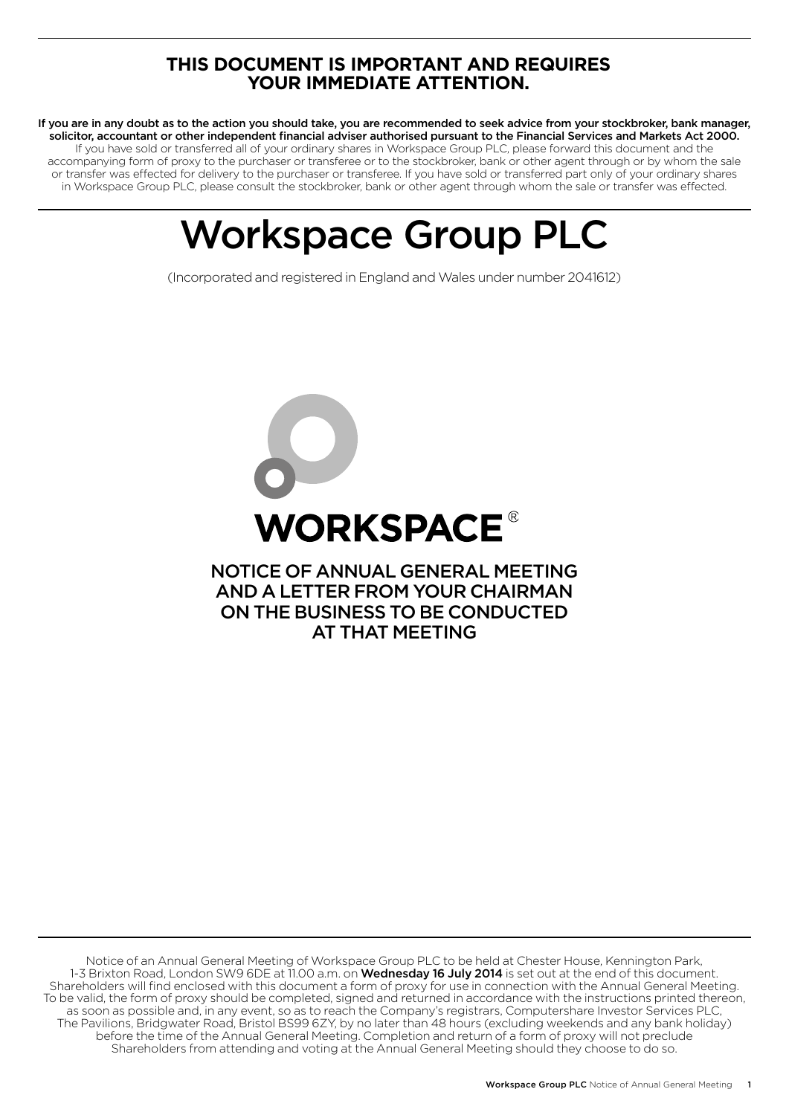# **THIS DOCUMENT IS IMPORTANT AND REQUIRES YOUR IMMEDIATE ATTENTION.**

If you are in any doubt as to the action you should take, you are recommended to seek advice from your stockbroker, bank manager, solicitor, accountant or other independent financial adviser authorised pursuant to the Financial Services and Markets Act 2000. If you have sold or transferred all of your ordinary shares in Workspace Group PLC, please forward this document and the accompanying form of proxy to the purchaser or transferee or to the stockbroker, bank or other agent through or by whom the sale or transfer was effected for delivery to the purchaser or transferee. If you have sold or transferred part only of your ordinary shares in Workspace Group PLC, please consult the stockbroker, bank or other agent through whom the sale or transfer was effected.

# Workspace Group PLC

(Incorporated and registered in England and Wales under number 2041612)



Notice of an Annual General Meeting of Workspace Group PLC to be held at Chester House, Kennington Park, 1-3 Brixton Road, London SW9 6DE at 11.00 a.m. on **Wednesday 16 July 2014** is set out at the end of this document. Shareholders will find enclosed with this document a form of proxy for use in connection with the Annual General Meeting. To be valid, the form of proxy should be completed, signed and returned in accordance with the instructions printed thereon, as soon as possible and, in any event, so as to reach the Company's registrars, Computershare Investor Services PLC, The Pavilions, Bridgwater Road, Bristol BS99 6ZY, by no later than 48 hours (excluding weekends and any bank holiday) before the time of the Annual General Meeting. Completion and return of a form of proxy will not preclude Shareholders from attending and voting at the Annual General Meeting should they choose to do so.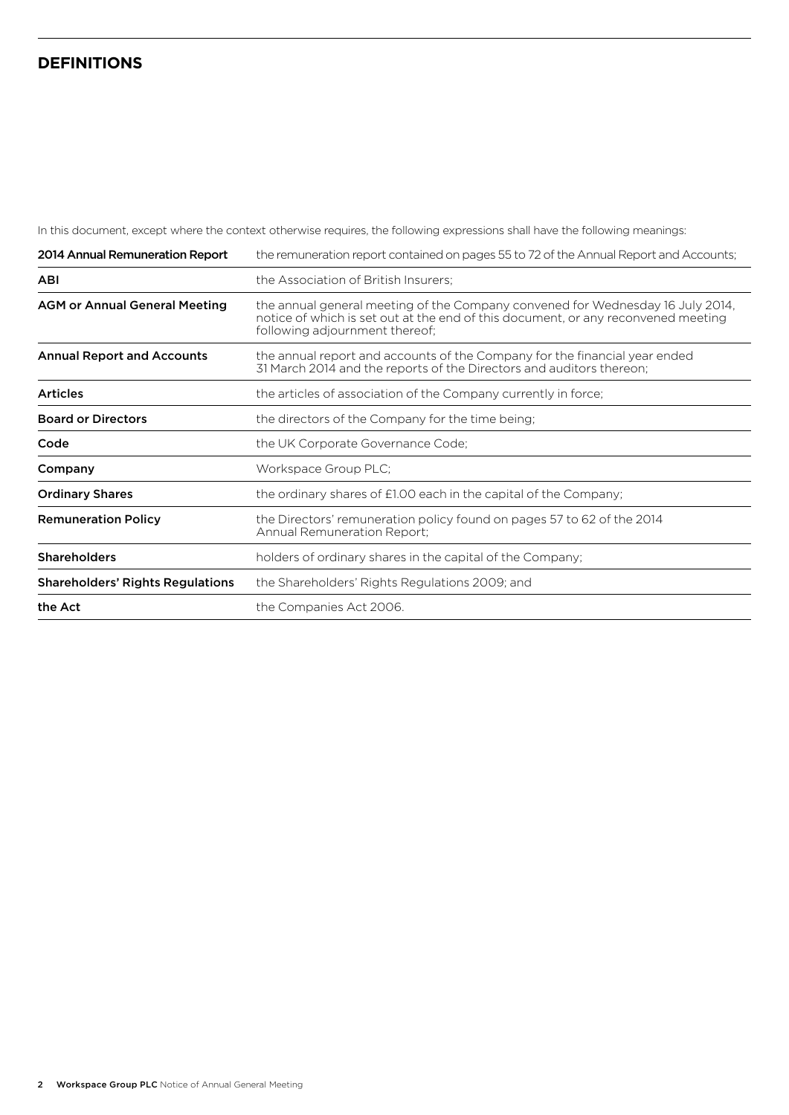## **DEFINITIONS**

In this document, except where the context otherwise requires, the following expressions shall have the following meanings:

| 2014 Annual Remuneration Report         | the remuneration report contained on pages 55 to 72 of the Annual Report and Accounts;                                                                                                                |
|-----------------------------------------|-------------------------------------------------------------------------------------------------------------------------------------------------------------------------------------------------------|
| <b>ABI</b>                              | the Association of British Insurers;                                                                                                                                                                  |
| <b>AGM or Annual General Meeting</b>    | the annual general meeting of the Company convened for Wednesday 16 July 2014,<br>notice of which is set out at the end of this document, or any reconvened meeting<br>following adjournment thereof; |
| <b>Annual Report and Accounts</b>       | the annual report and accounts of the Company for the financial year ended<br>31 March 2014 and the reports of the Directors and auditors thereon;                                                    |
| <b>Articles</b>                         | the articles of association of the Company currently in force;                                                                                                                                        |
| <b>Board or Directors</b>               | the directors of the Company for the time being;                                                                                                                                                      |
| Code                                    | the UK Corporate Governance Code;                                                                                                                                                                     |
| Company                                 | Workspace Group PLC;                                                                                                                                                                                  |
| <b>Ordinary Shares</b>                  | the ordinary shares of £1.00 each in the capital of the Company;                                                                                                                                      |
| <b>Remuneration Policy</b>              | the Directors' remuneration policy found on pages 57 to 62 of the 2014<br>Annual Remuneration Report;                                                                                                 |
| <b>Shareholders</b>                     | holders of ordinary shares in the capital of the Company;                                                                                                                                             |
| <b>Shareholders' Rights Regulations</b> | the Shareholders' Rights Regulations 2009; and                                                                                                                                                        |
| the Act                                 | the Companies Act 2006.                                                                                                                                                                               |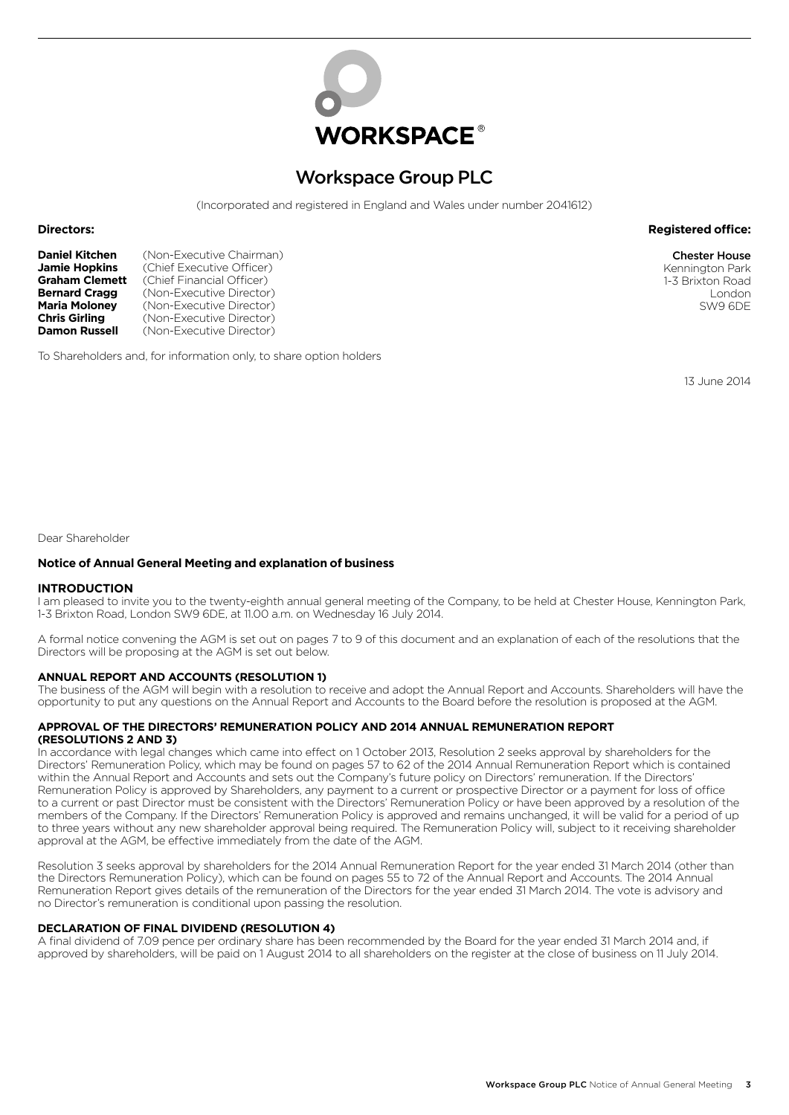

# Workspace Group PLC

(Incorporated and registered in England and Wales under number 2041612)

#### **Directors: Registered office:**

**Daniel Kitchen** (Non-Executive Chairman)<br>**Jamie Hopkins** (Chief Executive Officer) **Jamie Hopkins** (Chief Executive Officer)<br>**Graham Clemett** (Chief Financial Officer) **Graham Clemett** (Chief Financial Officer)<br>**Bernard Cragg** (Non-Executive Director **Bernard Cragg** (Non-Executive Director)<br>**Maria Moloney** (Non-Executive Director) **Maria Moloney** (Non-Executive Director)<br> **Chris Girling** (Non-Executive Director) **Chris Girling** (Non-Executive Director)<br>**Damon Russell** (Non-Executive Director) (Non-Executive Director)

To Shareholders and, for information only, to share option holders

13 June 2014

Dear Shareholder

#### **Notice of Annual General Meeting and explanation of business**

#### **INTRODUCTION**

I am pleased to invite you to the twenty-eighth annual general meeting of the Company, to be held at Chester House, Kennington Park, 1-3 Brixton Road, London SW9 6DE, at 11.00 a.m. on Wednesday 16 July 2014.

A formal notice convening the AGM is set out on pages 7 to 9 of this document and an explanation of each of the resolutions that the Directors will be proposing at the AGM is set out below.

#### **ANNUAL REPORT AND ACCOUNTS (RESOLUTION 1)**

The business of the AGM will begin with a resolution to receive and adopt the Annual Report and Accounts. Shareholders will have the opportunity to put any questions on the Annual Report and Accounts to the Board before the resolution is proposed at the AGM.

#### **APPROVAL OF THE DIRECTORS' REMUNERATION POLICY AND 2014 ANNUAL REMUNERATION REPORT (RESOLUTIONS 2 AND 3)**

In accordance with legal changes which came into effect on 1 October 2013, Resolution 2 seeks approval by shareholders for the Directors' Remuneration Policy, which may be found on pages 57 to 62 of the 2014 Annual Remuneration Report which is contained within the Annual Report and Accounts and sets out the Company's future policy on Directors' remuneration. If the Directors' Remuneration Policy is approved by Shareholders, any payment to a current or prospective Director or a payment for loss of office to a current or past Director must be consistent with the Directors' Remuneration Policy or have been approved by a resolution of the members of the Company. If the Directors' Remuneration Policy is approved and remains unchanged, it will be valid for a period of up to three years without any new shareholder approval being required. The Remuneration Policy will, subject to it receiving shareholder approval at the AGM, be effective immediately from the date of the AGM.

Resolution 3 seeks approval by shareholders for the 2014 Annual Remuneration Report for the year ended 31 March 2014 (other than the Directors Remuneration Policy), which can be found on pages 55 to 72 of the Annual Report and Accounts. The 2014 Annual Remuneration Report gives details of the remuneration of the Directors for the year ended 31 March 2014. The vote is advisory and no Director's remuneration is conditional upon passing the resolution.

#### **DECLARATION OF FINAL DIVIDEND (RESOLUTION 4)**

A final dividend of 7.09 pence per ordinary share has been recommended by the Board for the year ended 31 March 2014 and, if approved by shareholders, will be paid on 1 August 2014 to all shareholders on the register at the close of business on 11 July 2014.

Chester House Kennington Park 1-3 Brixton Road London SW9 6DE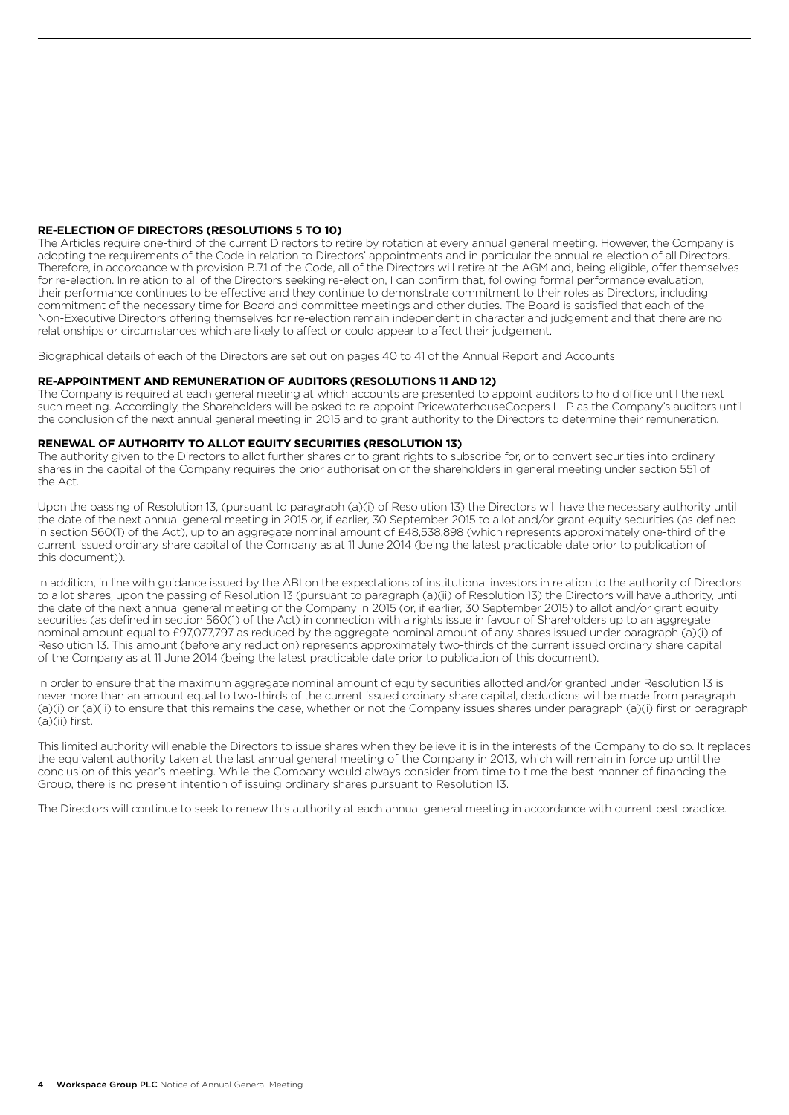#### **RE-ELECTION OF DIRECTORS (RESOLUTIONS 5 TO 10)**

The Articles require one-third of the current Directors to retire by rotation at every annual general meeting. However, the Company is adopting the requirements of the Code in relation to Directors' appointments and in particular the annual re-election of all Directors. Therefore, in accordance with provision B.7.1 of the Code, all of the Directors will retire at the AGM and, being eligible, offer themselves for re-election. In relation to all of the Directors seeking re-election, I can confirm that, following formal performance evaluation, their performance continues to be effective and they continue to demonstrate commitment to their roles as Directors, including commitment of the necessary time for Board and committee meetings and other duties. The Board is satisfied that each of the Non-Executive Directors offering themselves for re-election remain independent in character and judgement and that there are no relationships or circumstances which are likely to affect or could appear to affect their judgement.

Biographical details of each of the Directors are set out on pages 40 to 41 of the Annual Report and Accounts.

#### **RE-APPOINTMENT AND REMUNERATION OF AUDITORS (RESOLUTIONS 11 AND 12)**

The Company is required at each general meeting at which accounts are presented to appoint auditors to hold office until the next such meeting. Accordingly, the Shareholders will be asked to re-appoint PricewaterhouseCoopers LLP as the Company's auditors until the conclusion of the next annual general meeting in 2015 and to grant authority to the Directors to determine their remuneration.

#### **RENEWAL OF AUTHORITY TO ALLOT EQUITY SECURITIES (RESOLUTION 13)**

The authority given to the Directors to allot further shares or to grant rights to subscribe for, or to convert securities into ordinary shares in the capital of the Company requires the prior authorisation of the shareholders in general meeting under section 551 of the Act.

Upon the passing of Resolution 13, (pursuant to paragraph (a)(i) of Resolution 13) the Directors will have the necessary authority until the date of the next annual general meeting in 2015 or, if earlier, 30 September 2015 to allot and/or grant equity securities (as defined in section 560(1) of the Act), up to an aggregate nominal amount of £48,538,898 (which represents approximately one-third of the current issued ordinary share capital of the Company as at 11 June 2014 (being the latest practicable date prior to publication of this document)).

In addition, in line with guidance issued by the ABI on the expectations of institutional investors in relation to the authority of Directors to allot shares, upon the passing of Resolution 13 (pursuant to paragraph (a)(ii) of Resolution 13) the Directors will have authority, until the date of the next annual general meeting of the Company in 2015 (or, if earlier, 30 September 2015) to allot and/or grant equity securities (as defined in section 560(1) of the Act) in connection with a rights issue in favour of Shareholders up to an aggregate nominal amount equal to £97,077,797 as reduced by the aggregate nominal amount of any shares issued under paragraph (a)(i) of Resolution 13. This amount (before any reduction) represents approximately two-thirds of the current issued ordinary share capital of the Company as at 11 June 2014 (being the latest practicable date prior to publication of this document).

In order to ensure that the maximum aggregate nominal amount of equity securities allotted and/or granted under Resolution 13 is never more than an amount equal to two-thirds of the current issued ordinary share capital, deductions will be made from paragraph (a)(i) or (a)(ii) to ensure that this remains the case, whether or not the Company issues shares under paragraph (a)(i) first or paragraph (a)(ii) first.

This limited authority will enable the Directors to issue shares when they believe it is in the interests of the Company to do so. It replaces the equivalent authority taken at the last annual general meeting of the Company in 2013, which will remain in force up until the conclusion of this year's meeting. While the Company would always consider from time to time the best manner of financing the Group, there is no present intention of issuing ordinary shares pursuant to Resolution 13.

The Directors will continue to seek to renew this authority at each annual general meeting in accordance with current best practice.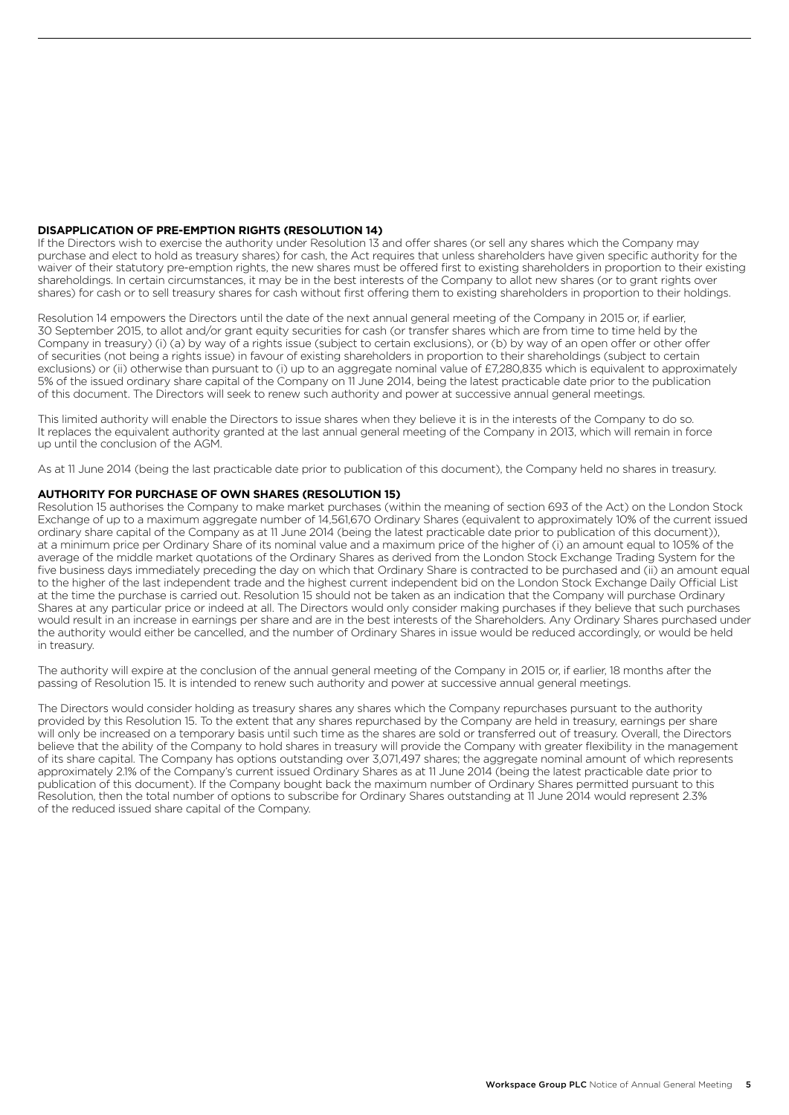#### **DISAPPLICATION OF PRE-EMPTION RIGHTS (RESOLUTION 14)**

If the Directors wish to exercise the authority under Resolution 13 and offer shares (or sell any shares which the Company may purchase and elect to hold as treasury shares) for cash, the Act requires that unless shareholders have given specific authority for the waiver of their statutory pre-emption rights, the new shares must be offered first to existing shareholders in proportion to their existing shareholdings. In certain circumstances, it may be in the best interests of the Company to allot new shares (or to grant rights over shares) for cash or to sell treasury shares for cash without first offering them to existing shareholders in proportion to their holdings.

Resolution 14 empowers the Directors until the date of the next annual general meeting of the Company in 2015 or, if earlier, 30 September 2015, to allot and/or grant equity securities for cash (or transfer shares which are from time to time held by the Company in treasury) (i) (a) by way of a rights issue (subject to certain exclusions), or (b) by way of an open offer or other offer of securities (not being a rights issue) in favour of existing shareholders in proportion to their shareholdings (subject to certain exclusions) or (ii) otherwise than pursuant to (i) up to an aggregate nominal value of £7,280,835 which is equivalent to approximately 5% of the issued ordinary share capital of the Company on 11 June 2014, being the latest practicable date prior to the publication of this document. The Directors will seek to renew such authority and power at successive annual general meetings.

This limited authority will enable the Directors to issue shares when they believe it is in the interests of the Company to do so. It replaces the equivalent authority granted at the last annual general meeting of the Company in 2013, which will remain in force up until the conclusion of the AGM.

As at 11 June 2014 (being the last practicable date prior to publication of this document), the Company held no shares in treasury.

#### **AUTHORITY FOR PURCHASE OF OWN SHARES (RESOLUTION 15)**

Resolution 15 authorises the Company to make market purchases (within the meaning of section 693 of the Act) on the London Stock Exchange of up to a maximum aggregate number of 14,561,670 Ordinary Shares (equivalent to approximately 10% of the current issued ordinary share capital of the Company as at 11 June 2014 (being the latest practicable date prior to publication of this document)), at a minimum price per Ordinary Share of its nominal value and a maximum price of the higher of (i) an amount equal to 105% of the average of the middle market quotations of the Ordinary Shares as derived from the London Stock Exchange Trading System for the five business days immediately preceding the day on which that Ordinary Share is contracted to be purchased and (ii) an amount equal to the higher of the last independent trade and the highest current independent bid on the London Stock Exchange Daily Official List at the time the purchase is carried out. Resolution 15 should not be taken as an indication that the Company will purchase Ordinary Shares at any particular price or indeed at all. The Directors would only consider making purchases if they believe that such purchases would result in an increase in earnings per share and are in the best interests of the Shareholders. Any Ordinary Shares purchased under the authority would either be cancelled, and the number of Ordinary Shares in issue would be reduced accordingly, or would be held in treasury.

The authority will expire at the conclusion of the annual general meeting of the Company in 2015 or, if earlier, 18 months after the passing of Resolution 15. It is intended to renew such authority and power at successive annual general meetings.

The Directors would consider holding as treasury shares any shares which the Company repurchases pursuant to the authority provided by this Resolution 15. To the extent that any shares repurchased by the Company are held in treasury, earnings per share will only be increased on a temporary basis until such time as the shares are sold or transferred out of treasury. Overall, the Directors believe that the ability of the Company to hold shares in treasury will provide the Company with greater flexibility in the management of its share capital. The Company has options outstanding over 3,071,497 shares; the aggregate nominal amount of which represents approximately 2.1% of the Company's current issued Ordinary Shares as at 11 June 2014 (being the latest practicable date prior to publication of this document). If the Company bought back the maximum number of Ordinary Shares permitted pursuant to this Resolution, then the total number of options to subscribe for Ordinary Shares outstanding at 11 June 2014 would represent 2.3% of the reduced issued share capital of the Company.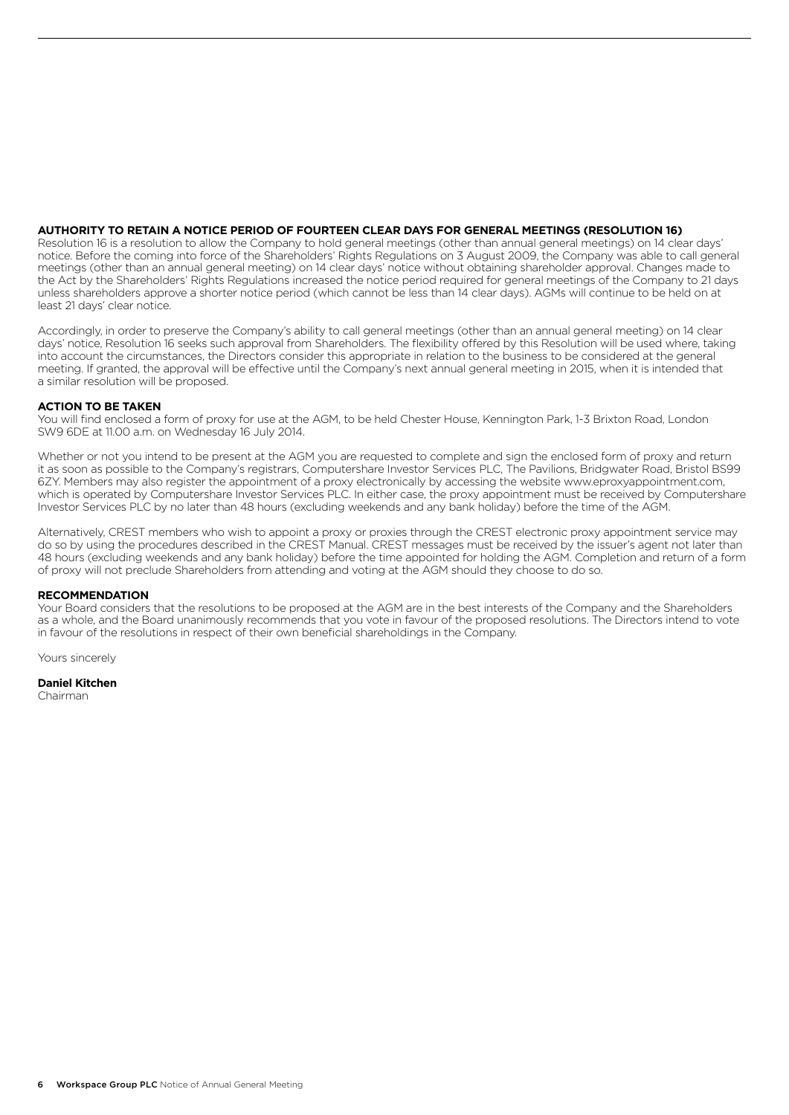#### **AUTHORITY TO RETAIN A NOTICE PERIOD OF FOURTEEN CLEAR DAYS FOR GENERAL MEETINGS (RESOLUTION 16)**

Resolution 16 is a resolution to allow the Company to hold general meetings (other than annual general meetings) on 14 clear days' notice. Before the coming into force of the Shareholders' Rights Regulations on 3 August 2009, the Company was able to call general meetings (other than an annual general meeting) on 14 clear days' notice without obtaining shareholder approval. Changes made to the Act by the Shareholders' Rights Regulations increased the notice period required for general meetings of the Company to 21 days unless shareholders approve a shorter notice period (which cannot be less than 14 clear days). AGMs will continue to be held on at least 21 days' clear notice.

Accordingly, in order to preserve the Company's ability to call general meetings (other than an annual general meeting) on 14 clear days' notice, Resolution 16 seeks such approval from Shareholders. The flexibility offered by this Resolution will be used where, taking into account the circumstances, the Directors consider this appropriate in relation to the business to be considered at the general meeting. If granted, the approval will be effective until the Company's next annual general meeting in 2015, when it is intended that a similar resolution will be proposed.

#### **ACTION TO BE TAKEN**

You will find enclosed a form of proxy for use at the AGM, to be held Chester House, Kennington Park, 1-3 Brixton Road, London SW9 6DE at 11.00 a.m. on Wednesday 16 July 2014.

Whether or not you intend to be present at the AGM you are requested to complete and sign the enclosed form of proxy and return it as soon as possible to the Company's registrars, Computershare Investor Services PLC, The Pavilions, Bridgwater Road, Bristol BS99 6ZY. Members may also register the appointment of a proxy electronically by accessing the website www.eproxyappointment.com, which is operated by Computershare Investor Services PLC. In either case, the proxy appointment must be received by Computershare Investor Services PLC by no later than 48 hours (excluding weekends and any bank holiday) before the time of the AGM.

Alternatively, CREST members who wish to appoint a proxy or proxies through the CREST electronic proxy appointment service may do so by using the procedures described in the CREST Manual. CREST messages must be received by the issuer's agent not later than 48 hours (excluding weekends and any bank holiday) before the time appointed for holding the AGM. Completion and return of a form of proxy will not preclude Shareholders from attending and voting at the AGM should they choose to do so.

#### **RECOMMENDATION**

Your Board considers that the resolutions to be proposed at the AGM are in the best interests of the Company and the Shareholders as a whole, and the Board unanimously recommends that you vote in favour of the proposed resolutions. The Directors intend to vote in favour of the resolutions in respect of their own beneficial shareholdings in the Company.

Yours sincerely

#### **Daniel Kitchen**

Chairman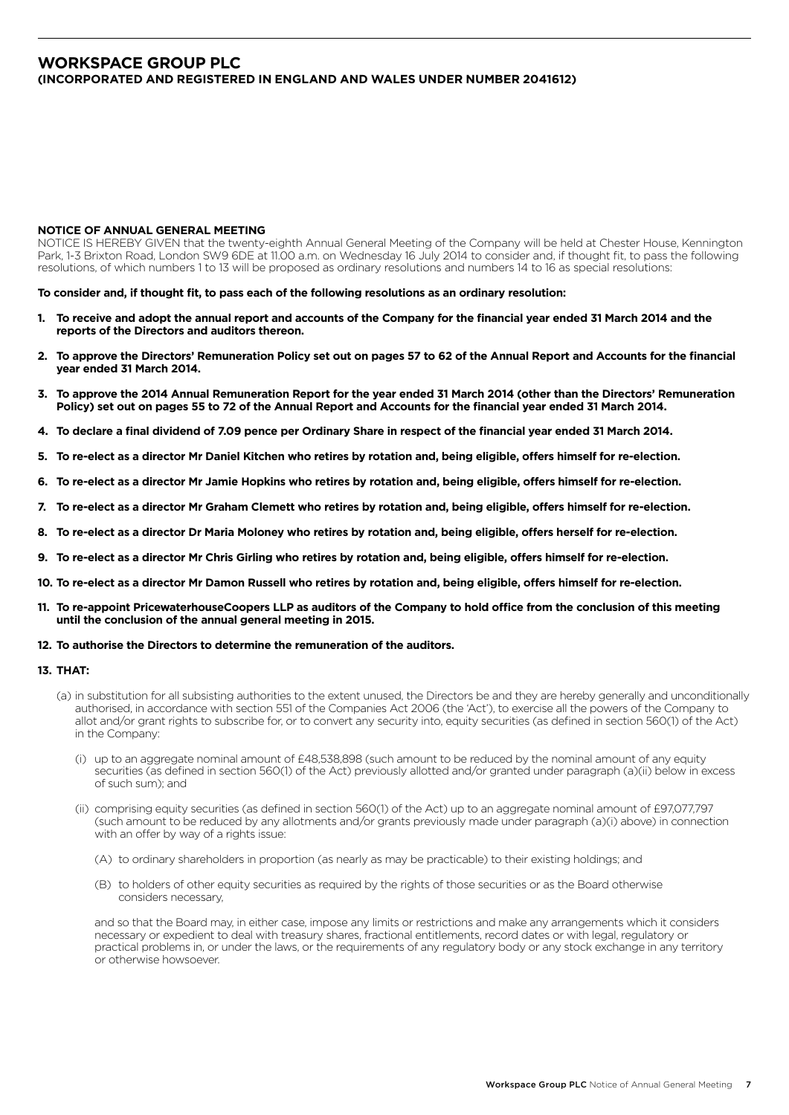## **WORKSPACE GROUP PLC (INCORPORATED AND REGISTERED IN ENGLAND AND WALES UNDER NUMBER 2041612)**

#### **NOTICE OF ANNUAL GENERAL MEETING**

NOTICE IS HEREBY GIVEN that the twenty-eighth Annual General Meeting of the Company will be held at Chester House, Kennington Park, 1-3 Brixton Road, London SW9 6DE at 11.00 a.m. on Wednesday 16 July 2014 to consider and, if thought fit, to pass the following resolutions, of which numbers 1 to 13 will be proposed as ordinary resolutions and numbers 14 to 16 as special resolutions:

**To consider and, if thought fit, to pass each of the following resolutions as an ordinary resolution:**

- **1. To receive and adopt the annual report and accounts of the Company for the financial year ended 31 March 2014 and the reports of the Directors and auditors thereon.**
- **2. To approve the Directors' Remuneration Policy set out on pages 57 to 62 of the Annual Report and Accounts for the financial year ended 31 March 2014.**
- **3. To approve the 2014 Annual Remuneration Report for the year ended 31 March 2014 (other than the Directors' Remuneration Policy) set out on pages 55 to 72 of the Annual Report and Accounts for the financial year ended 31 March 2014.**
- **4. To declare a final dividend of 7.09 pence per Ordinary Share in respect of the financial year ended 31 March 2014.**
- **5. To re-elect as a director Mr Daniel Kitchen who retires by rotation and, being eligible, offers himself for re-election.**
- **6. To re-elect as a director Mr Jamie Hopkins who retires by rotation and, being eligible, offers himself for re-election.**
- **7. To re-elect as a director Mr Graham Clemett who retires by rotation and, being eligible, offers himself for re-election.**
- **8. To re-elect as a director Dr Maria Moloney who retires by rotation and, being eligible, offers herself for re-election.**
- **9. To re-elect as a director Mr Chris Girling who retires by rotation and, being eligible, offers himself for re-election.**
- **10. To re-elect as a director Mr Damon Russell who retires by rotation and, being eligible, offers himself for re-election.**
- **11. To re-appoint PricewaterhouseCoopers LLP as auditors of the Company to hold office from the conclusion of this meeting until the conclusion of the annual general meeting in 2015.**
- **12. To authorise the Directors to determine the remuneration of the auditors.**

#### **13. THAT:**

- (a) in substitution for all subsisting authorities to the extent unused, the Directors be and they are hereby generally and unconditionally authorised, in accordance with section 551 of the Companies Act 2006 (the 'Act'), to exercise all the powers of the Company to allot and/or grant rights to subscribe for, or to convert any security into, equity securities (as defined in section 560(1) of the Act) in the Company:
	- (i) up to an aggregate nominal amount of  $E48,538,898$  (such amount to be reduced by the nominal amount of any equity securities (as defined in section 560(1) of the Act) previously allotted and/or granted under paragraph (a)(ii) below in excess of such sum); and
	- (ii) comprising equity securities (as defined in section 560(1) of the Act) up to an aggregate nominal amount of £97,077,797 (such amount to be reduced by any allotments and/or grants previously made under paragraph (a)(i) above) in connection with an offer by way of a rights issue:
		- (A) to ordinary shareholders in proportion (as nearly as may be practicable) to their existing holdings; and
		- (B) to holders of other equity securities as required by the rights of those securities or as the Board otherwise considers necessary,

 and so that the Board may, in either case, impose any limits or restrictions and make any arrangements which it considers necessary or expedient to deal with treasury shares, fractional entitlements, record dates or with legal, regulatory or practical problems in, or under the laws, or the requirements of any regulatory body or any stock exchange in any territory or otherwise howsoever.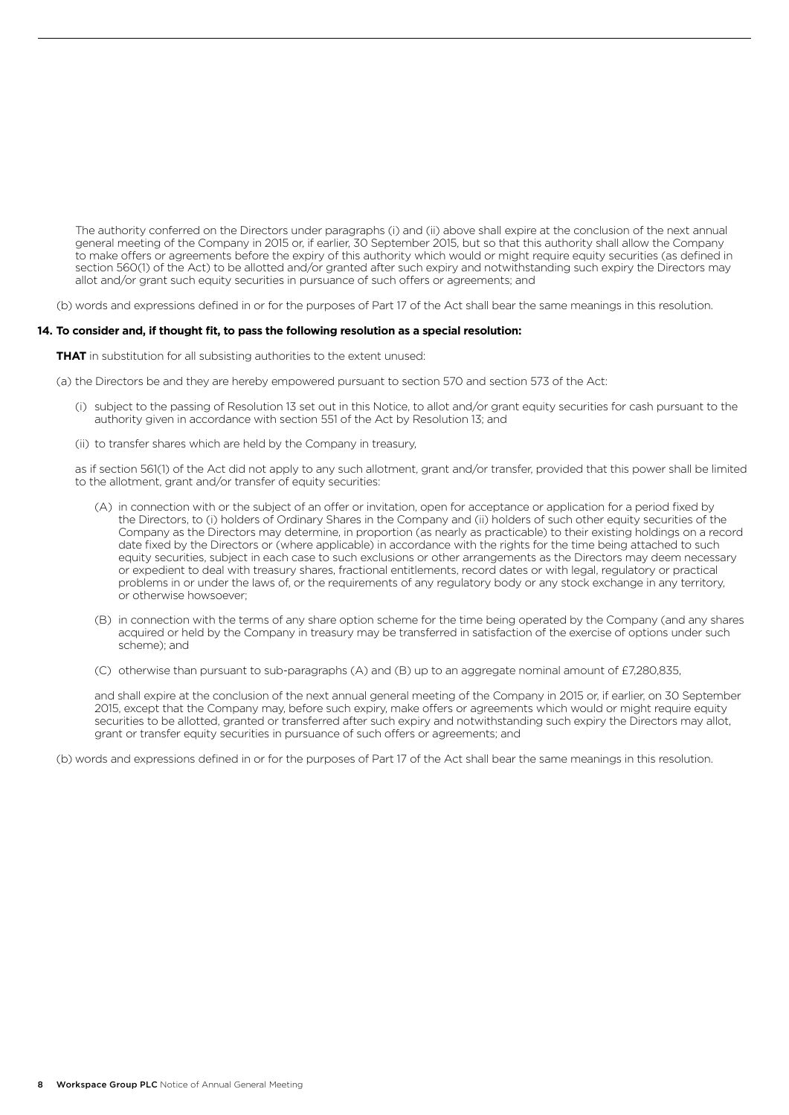The authority conferred on the Directors under paragraphs (i) and (ii) above shall expire at the conclusion of the next annual general meeting of the Company in 2015 or, if earlier, 30 September 2015, but so that this authority shall allow the Company to make offers or agreements before the expiry of this authority which would or might require equity securities (as defined in section 560(1) of the Act) to be allotted and/or granted after such expiry and notwithstanding such expiry the Directors may allot and/or grant such equity securities in pursuance of such offers or agreements; and

(b) words and expressions defined in or for the purposes of Part 17 of the Act shall bear the same meanings in this resolution.

#### **14. To consider and, if thought fit, to pass the following resolution as a special resolution:**

**THAT** in substitution for all subsisting authorities to the extent unused:

(a) the Directors be and they are hereby empowered pursuant to section 570 and section 573 of the Act:

- (i) subject to the passing of Resolution 13 set out in this Notice, to allot and/or grant equity securities for cash pursuant to the authority given in accordance with section 551 of the Act by Resolution 13; and
- (ii) to transfer shares which are held by the Company in treasury,

 as if section 561(1) of the Act did not apply to any such allotment, grant and/or transfer, provided that this power shall be limited to the allotment, grant and/or transfer of equity securities:

- (A) in connection with or the subject of an offer or invitation, open for acceptance or application for a period fixed by the Directors, to (i) holders of Ordinary Shares in the Company and (ii) holders of such other equity securities of the Company as the Directors may determine, in proportion (as nearly as practicable) to their existing holdings on a record date fixed by the Directors or (where applicable) in accordance with the rights for the time being attached to such equity securities, subject in each case to such exclusions or other arrangements as the Directors may deem necessary or expedient to deal with treasury shares, fractional entitlements, record dates or with legal, regulatory or practical problems in or under the laws of, or the requirements of any regulatory body or any stock exchange in any territory, or otherwise howsoever;
- (B) in connection with the terms of any share option scheme for the time being operated by the Company (and any shares acquired or held by the Company in treasury may be transferred in satisfaction of the exercise of options under such scheme); and
- (C) otherwise than pursuant to sub-paragraphs (A) and (B) up to an aggregate nominal amount of £7,280,835,

 and shall expire at the conclusion of the next annual general meeting of the Company in 2015 or, if earlier, on 30 September 2015, except that the Company may, before such expiry, make offers or agreements which would or might require equity securities to be allotted, granted or transferred after such expiry and notwithstanding such expiry the Directors may allot, grant or transfer equity securities in pursuance of such offers or agreements; and

(b) words and expressions defined in or for the purposes of Part 17 of the Act shall bear the same meanings in this resolution.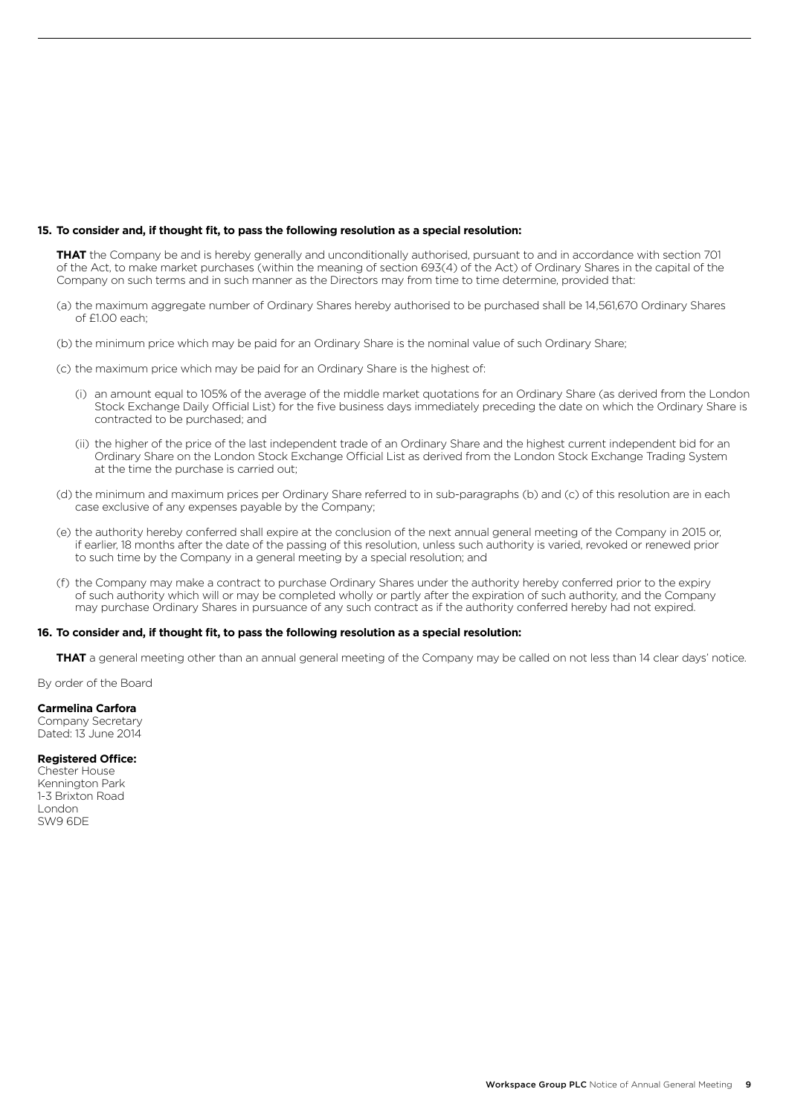#### **15. To consider and, if thought fit, to pass the following resolution as a special resolution:**

 **THAT** the Company be and is hereby generally and unconditionally authorised, pursuant to and in accordance with section 701 of the Act, to make market purchases (within the meaning of section 693(4) of the Act) of Ordinary Shares in the capital of the Company on such terms and in such manner as the Directors may from time to time determine, provided that:

- (a) the maximum aggregate number of Ordinary Shares hereby authorised to be purchased shall be 14,561,670 Ordinary Shares of £1.00 each;
- (b) the minimum price which may be paid for an Ordinary Share is the nominal value of such Ordinary Share;
- (c) the maximum price which may be paid for an Ordinary Share is the highest of:
	- (i) an amount equal to 105% of the average of the middle market quotations for an Ordinary Share (as derived from the London Stock Exchange Daily Official List) for the five business days immediately preceding the date on which the Ordinary Share is contracted to be purchased; and
	- (ii) the higher of the price of the last independent trade of an Ordinary Share and the highest current independent bid for an Ordinary Share on the London Stock Exchange Official List as derived from the London Stock Exchange Trading System at the time the purchase is carried out;
- (d) the minimum and maximum prices per Ordinary Share referred to in sub-paragraphs (b) and (c) of this resolution are in each case exclusive of any expenses payable by the Company;
- (e) the authority hereby conferred shall expire at the conclusion of the next annual general meeting of the Company in 2015 or, if earlier, 18 months after the date of the passing of this resolution, unless such authority is varied, revoked or renewed prior to such time by the Company in a general meeting by a special resolution; and
- (f) the Company may make a contract to purchase Ordinary Shares under the authority hereby conferred prior to the expiry of such authority which will or may be completed wholly or partly after the expiration of such authority, and the Company may purchase Ordinary Shares in pursuance of any such contract as if the authority conferred hereby had not expired.

#### **16. To consider and, if thought fit, to pass the following resolution as a special resolution:**

**THAT** a general meeting other than an annual general meeting of the Company may be called on not less than 14 clear days' notice.

By order of the Board

#### **Carmelina Carfora**

Company Secretary Dated: 13 June 2014

#### **Registered Office:**

Chester House Kennington Park 1-3 Brixton Road London SW9 6DE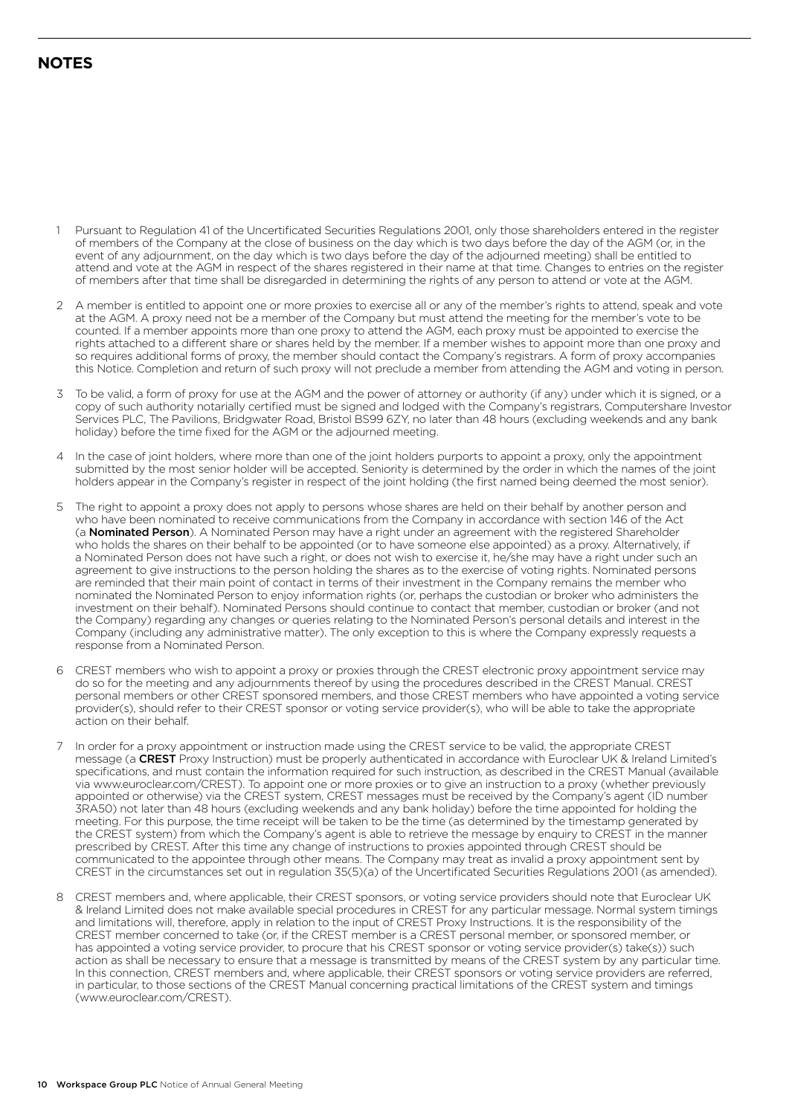## **NOTES**

- 1 Pursuant to Regulation 41 of the Uncertificated Securities Regulations 2001, only those shareholders entered in the register of members of the Company at the close of business on the day which is two days before the day of the AGM (or, in the event of any adjournment, on the day which is two days before the day of the adjourned meeting) shall be entitled to attend and vote at the AGM in respect of the shares registered in their name at that time. Changes to entries on the register of members after that time shall be disregarded in determining the rights of any person to attend or vote at the AGM.
- 2 A member is entitled to appoint one or more proxies to exercise all or any of the member's rights to attend, speak and vote at the AGM. A proxy need not be a member of the Company but must attend the meeting for the member's vote to be counted. If a member appoints more than one proxy to attend the AGM, each proxy must be appointed to exercise the rights attached to a different share or shares held by the member. If a member wishes to appoint more than one proxy and so requires additional forms of proxy, the member should contact the Company's registrars. A form of proxy accompanies this Notice. Completion and return of such proxy will not preclude a member from attending the AGM and voting in person.
- 3 To be valid, a form of proxy for use at the AGM and the power of attorney or authority (if any) under which it is signed, or a copy of such authority notarially certified must be signed and lodged with the Company's registrars, Computershare Investor Services PLC, The Pavilions, Bridgwater Road, Bristol BS99 6ZY, no later than 48 hours (excluding weekends and any bank holiday) before the time fixed for the AGM or the adjourned meeting.
- 4 In the case of joint holders, where more than one of the joint holders purports to appoint a proxy, only the appointment submitted by the most senior holder will be accepted. Seniority is determined by the order in which the names of the joint holders appear in the Company's register in respect of the joint holding (the first named being deemed the most senior).
- 5 The right to appoint a proxy does not apply to persons whose shares are held on their behalf by another person and who have been nominated to receive communications from the Company in accordance with section 146 of the Act (a Nominated Person). A Nominated Person may have a right under an agreement with the registered Shareholder who holds the shares on their behalf to be appointed (or to have someone else appointed) as a proxy. Alternatively, if a Nominated Person does not have such a right, or does not wish to exercise it, he/she may have a right under such an agreement to give instructions to the person holding the shares as to the exercise of voting rights. Nominated persons are reminded that their main point of contact in terms of their investment in the Company remains the member who nominated the Nominated Person to enjoy information rights (or, perhaps the custodian or broker who administers the investment on their behalf). Nominated Persons should continue to contact that member, custodian or broker (and not the Company) regarding any changes or queries relating to the Nominated Person's personal details and interest in the Company (including any administrative matter). The only exception to this is where the Company expressly requests a response from a Nominated Person.
- 6 CREST members who wish to appoint a proxy or proxies through the CREST electronic proxy appointment service may do so for the meeting and any adjournments thereof by using the procedures described in the CREST Manual. CREST personal members or other CREST sponsored members, and those CREST members who have appointed a voting service provider(s), should refer to their CREST sponsor or voting service provider(s), who will be able to take the appropriate action on their behalf.
- 7 In order for a proxy appointment or instruction made using the CREST service to be valid, the appropriate CREST message (a CREST Proxy Instruction) must be properly authenticated in accordance with Euroclear UK & Ireland Limited's specifications, and must contain the information required for such instruction, as described in the CREST Manual (available via www.euroclear.com/CREST). To appoint one or more proxies or to give an instruction to a proxy (whether previously appointed or otherwise) via the CREST system, CREST messages must be received by the Company's agent (ID number 3RA50) not later than 48 hours (excluding weekends and any bank holiday) before the time appointed for holding the meeting. For this purpose, the time receipt will be taken to be the time (as determined by the timestamp generated by the CREST system) from which the Company's agent is able to retrieve the message by enquiry to CREST in the manner prescribed by CREST. After this time any change of instructions to proxies appointed through CREST should be communicated to the appointee through other means. The Company may treat as invalid a proxy appointment sent by CREST in the circumstances set out in regulation 35(5)(a) of the Uncertificated Securities Regulations 2001 (as amended).
- 8 CREST members and, where applicable, their CREST sponsors, or voting service providers should note that Euroclear UK & Ireland Limited does not make available special procedures in CREST for any particular message. Normal system timings and limitations will, therefore, apply in relation to the input of CREST Proxy Instructions. It is the responsibility of the CREST member concerned to take (or, if the CREST member is a CREST personal member, or sponsored member, or has appointed a voting service provider, to procure that his CREST sponsor or voting service provider(s) take(s)) such action as shall be necessary to ensure that a message is transmitted by means of the CREST system by any particular time. In this connection, CREST members and, where applicable, their CREST sponsors or voting service providers are referred, in particular, to those sections of the CREST Manual concerning practical limitations of the CREST system and timings (www.euroclear.com/CREST).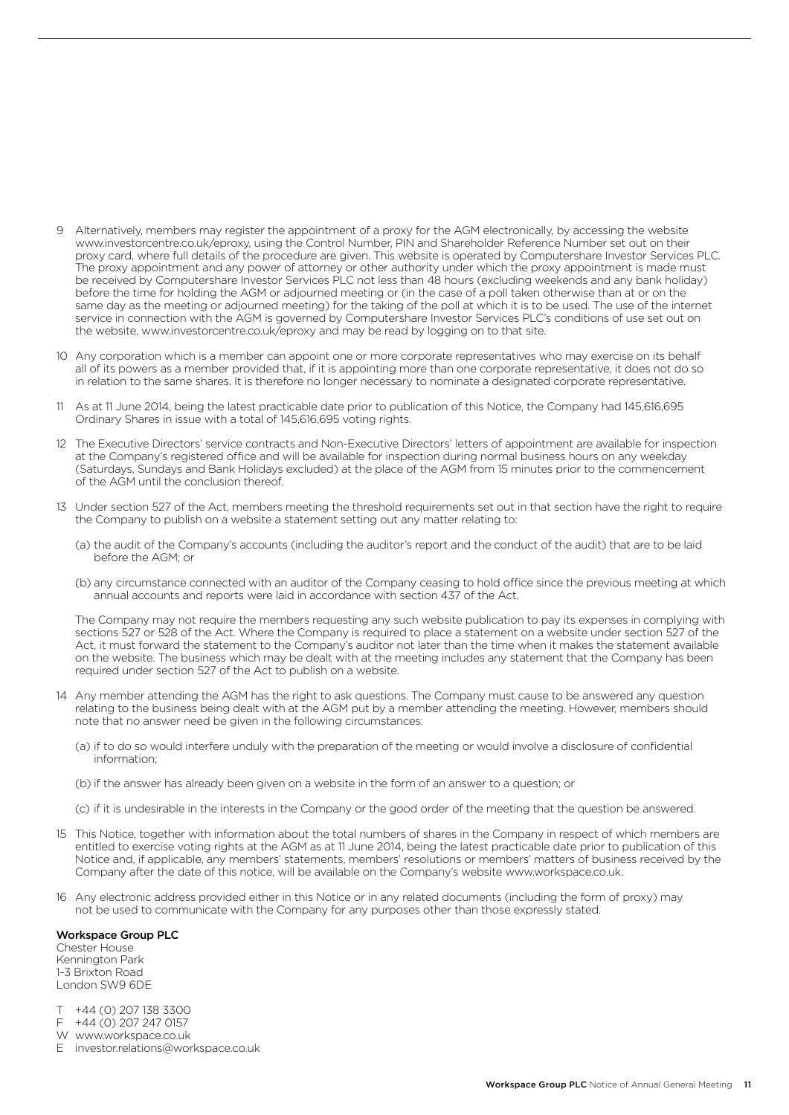- 9 Alternatively, members may register the appointment of a proxy for the AGM electronically, by accessing the website www.investorcentre.co.uk/eproxy, using the Control Number, PIN and Shareholder Reference Number set out on their proxy card, where full details of the procedure are given. This website is operated by Computershare Investor Services PLC. The proxy appointment and any power of attorney or other authority under which the proxy appointment is made must be received by Computershare Investor Services PLC not less than 48 hours (excluding weekends and any bank holiday) before the time for holding the AGM or adjourned meeting or (in the case of a poll taken otherwise than at or on the same day as the meeting or adjourned meeting) for the taking of the poll at which it is to be used. The use of the internet service in connection with the AGM is governed by Computershare Investor Services PLC's conditions of use set out on the website, www.investorcentre.co.uk/eproxy and may be read by logging on to that site.
- 10 Any corporation which is a member can appoint one or more corporate representatives who may exercise on its behalf all of its powers as a member provided that, if it is appointing more than one corporate representative, it does not do so in relation to the same shares. It is therefore no longer necessary to nominate a designated corporate representative.
- 11 As at 11 June 2014, being the latest practicable date prior to publication of this Notice, the Company had 145,616,695 Ordinary Shares in issue with a total of 145,616,695 voting rights.
- 12 The Executive Directors' service contracts and Non-Executive Directors' letters of appointment are available for inspection at the Company's registered office and will be available for inspection during normal business hours on any weekday (Saturdays, Sundays and Bank Holidays excluded) at the place of the AGM from 15 minutes prior to the commencement of the AGM until the conclusion thereof.
- 13 Under section 527 of the Act, members meeting the threshold requirements set out in that section have the right to require the Company to publish on a website a statement setting out any matter relating to:
	- (a) the audit of the Company's accounts (including the auditor's report and the conduct of the audit) that are to be laid before the AGM; or
	- (b) any circumstance connected with an auditor of the Company ceasing to hold office since the previous meeting at which annual accounts and reports were laid in accordance with section 437 of the Act.

 The Company may not require the members requesting any such website publication to pay its expenses in complying with sections 527 or 528 of the Act. Where the Company is required to place a statement on a website under section 527 of the Act, it must forward the statement to the Company's auditor not later than the time when it makes the statement available on the website. The business which may be dealt with at the meeting includes any statement that the Company has been required under section 527 of the Act to publish on a website.

- 14 Any member attending the AGM has the right to ask questions. The Company must cause to be answered any question relating to the business being dealt with at the AGM put by a member attending the meeting. However, members should note that no answer need be given in the following circumstances:
	- (a) if to do so would interfere unduly with the preparation of the meeting or would involve a disclosure of confidential information;
	- (b) if the answer has already been given on a website in the form of an answer to a question; or
	- (c) if it is undesirable in the interests in the Company or the good order of the meeting that the question be answered.
- 15 This Notice, together with information about the total numbers of shares in the Company in respect of which members are entitled to exercise voting rights at the AGM as at 11 June 2014, being the latest practicable date prior to publication of this Notice and, if applicable, any members' statements, members' resolutions or members' matters of business received by the Company after the date of this notice, will be available on the Company's website www.workspace.co.uk.
- 16 Any electronic address provided either in this Notice or in any related documents (including the form of proxy) may not be used to communicate with the Company for any purposes other than those expressly stated.

#### Workspace Group PLC

Chester House Kennington Park 1-3 Brixton Road London SW9 6DE

- T +44 (0) 207 138 3300
- F +44 (0) 207 247 0157
- W www.workspace.co.uk
- E investor.relations@workspace.co.uk